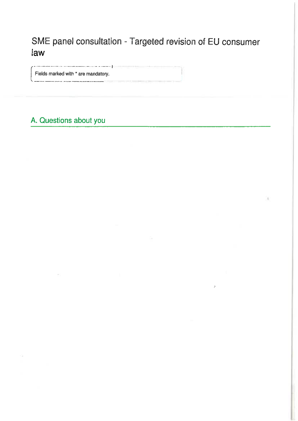SME panel consultation - Targeted revision of EU consumer law

Fields marked with \* are mandatory.

سترب سامنته

# A. Questions about you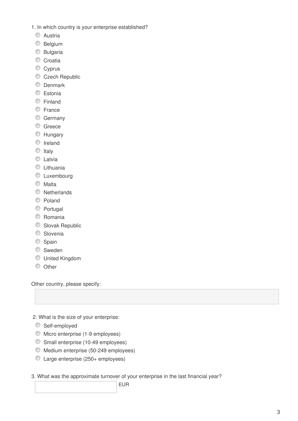- 1. In which country is your enterprise established?
	- C Austria
	- **Belgium**
	- C Bulgaria
	- Croatia
	- Cyprus
	- Czech Republic
	- **Denmark**
	- **Estonia**
	- **Einland**
	- **E**rance
	- C Germany
	- C Greece
	- **Hungary**
	- **O** Ireland
	- $\circ$  Italy
	- C Latvia
	- **C** Lithuania
	- **C** Luxembourg
	- Malta
	- **Netherlands**
	- Poland
	- **Portugal**
	- C Romania
	- Slovak Republic
	- **Slovenia**
	- Spain
	- Sweden
	- United Kingdom
	- O Other

Other country, please specify:

2. What is the size of your enterprise:

- **Self-employed**
- Micro enterprise (1-9 employees)
- Small enterprise (10-49 employees)
- Medium enterprise (50-249 employees)
- Large enterprise (250+ employees)

3. What was the approximate turnover of your enterprise in the last financial year?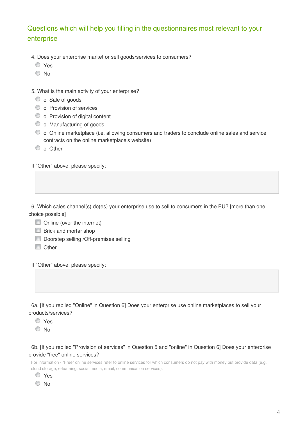# Questions which will help you filling in the questionnaires most relevant to your enterprise

- 4. Does your enterprise market or sell goods/services to consumers?
	- Yes
	- <sup>O</sup>No

5. What is the main activity of your enterprise?

- $\bullet$  o Sale of goods
- $\bullet$  o Provision of services
- $\bullet$  o Provision of digital content
- $\bullet$  o Manufacturing of goods
- o Online marketplace (i.e. allowing consumers and traders to conclude online sales and service contracts on the online marketplace's website)
- $\bullet$  o Other

If "Other" above, please specify:

6. Which sales channel(s) do(es) your enterprise use to sell to consumers in the EU? [more than one choice possible]

- Online (over the internet)
- **Brick and mortar shop**
- Doorstep selling / Off-premises selling
- **n** Other

If "Other" above, please specify:

6a. [If you replied "Online" in Question 6] Does your enterprise use online marketplaces to sell your products/services?

Yes

No

### 6b. [If you replied "Provision of services" in Question 5 and "online" in Question 6] Does your enterprise provide "free" online services?

For information - "Free" online services refer to online services for which consumers do not pay with money but provide data (e.g. cloud storage, e-learning, social media, email, communication services).

- Yes
- © No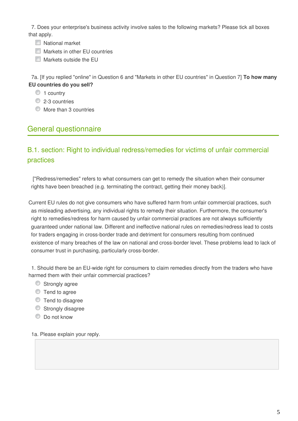7. Does your enterprise's business activity involve sales to the following markets? Please tick all boxes that apply.

- **National market**
- **Markets in other EU countries**
- Markets outside the EU

7a. [If you replied "online" in Question 6 and "Markets in other EU countries" in Question 7] **To how many EU countries do you sell?**

- <sup>1</sup> country
- 2-3 countries
- More than 3 countries

# General questionnaire

# B.1. section: Right to individual redress/remedies for victims of unfair commercial practices

 ["Redress/remedies" refers to what consumers can get to remedy the situation when their consumer rights have been breached (e.g. terminating the contract, getting their money back)].

Current EU rules do not give consumers who have suffered harm from unfair commercial practices, such as misleading advertising, any individual rights to remedy their situation. Furthermore, the consumer's right to remedies/redress for harm caused by unfair commercial practices are not always sufficiently guaranteed under national law. Different and ineffective national rules on remedies/redress lead to costs for traders engaging in cross-border trade and detriment for consumers resulting from continued existence of many breaches of the law on national and cross-border level. These problems lead to lack of consumer trust in purchasing, particularly cross-border.

1. Should there be an EU-wide right for consumers to claim remedies directly from the traders who have harmed them with their unfair commercial practices?

- Strongly agree
- **Tend to agree**
- $\bullet$  Tend to disagree
- Strongly disagree
- **Do not know**

1a. Please explain your reply.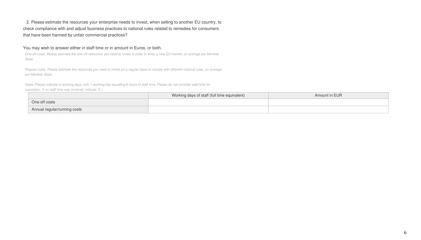## 2. Please estimate the resources your enterprise needs to invest, when selling to another EU country, to check compliance with and adjust business practices to national rules related to remedies for consumers that have been harmed by unfair commercial practices?

### You may wish to answer either in staff time or in amount in Euros, or both.

One-off costs: Please estimate the one-off resources you need to invest in order to enter a new EU market, on average per Member State.

Regular costs: Please estimate the resources you need to invest on a regular basis to comply with different national rules, on average per Member State.

|                              | Working days of staff (full time equivalent) | Amount in EUR |
|------------------------------|----------------------------------------------|---------------|
| One-off costs                |                                              |               |
| Annual regular/running costs |                                              |               |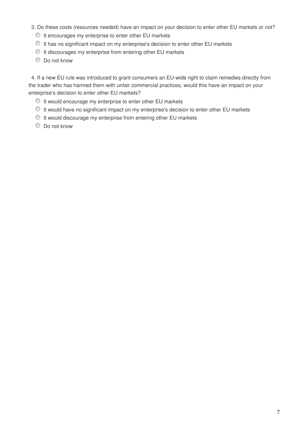- 3. Do these costs (resources needed) have an impact on your decision to enter other EU markets or not?
	- $\bullet$  It encourages my enterprise to enter other EU markets
	- $\bullet$  It has no significant impact on my enterprise's decision to enter other EU markets
	- $\bullet$  It discourages my enterprise from entering other EU markets
	- $\bullet$  Do not know

4. If a new EU rule was introduced to grant consumers an EU-wide right to claim remedies directly from the trader who has harmed them with unfair commercial practices, would this have an impact on your enterprise's decision to enter other EU markets?

- $\bullet$  It would encourage my enterprise to enter other EU markets
- $\bullet$  It would have no significant impact on my enterprise's decision to enter other EU markets
- It would discourage my enterprise from entering other EU markets
- $\bullet$  Do not know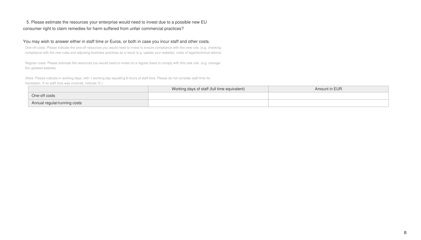## 5. Please estimate the resources your enterprise would need to invest due to a possible new EU consumer right to claim remedies for harm suffered from unfair commercial practices?

### You may wish to answer either in staff time or Euros, or both in case you incur staff and other costs.

One-off costs: Please indicate the one-off resources you would need to invest to ensure compliance with this new rule. (e.g. checking compliance with the new rules and adjusting business practices as a result (e.g. update your website), costs of legal/technical advice)

Regular costs: Please estimate the resources you would need to invest on a regular basis to comply with this new rule. (e.g. manage the updated website)

|                              | Working days of staff (full time equivalent) | Amount in EUR |
|------------------------------|----------------------------------------------|---------------|
| One-off costs                |                                              |               |
| Annual regular/running costs |                                              |               |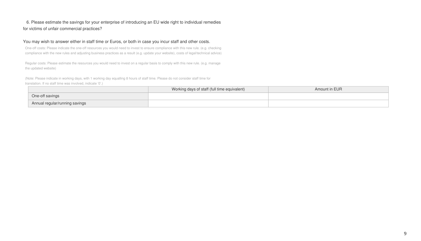## 6. Please estimate the savings for your enterprise of introducing an EU wide right to individual remedies for victims of unfair commercial practices?

### You may wish to answer either in staff time or Euros, or both in case you incur staff and other costs.

One-off costs: Please indicate the one-off resources you would need to invest to ensure compliance with this new rule. (e.g. checking compliance with the new rules and adjusting business practices as a result (e.g. update your website), costs of legal/technical advice)

Regular costs: Please estimate the resources you would need to invest on a regular basis to comply with this new rule. (e.g. manage the updated website)

|                                | Working days of staff (full time equivalent) | Amount in EUR |
|--------------------------------|----------------------------------------------|---------------|
| One-off savings                |                                              |               |
| Annual regular/running savings |                                              |               |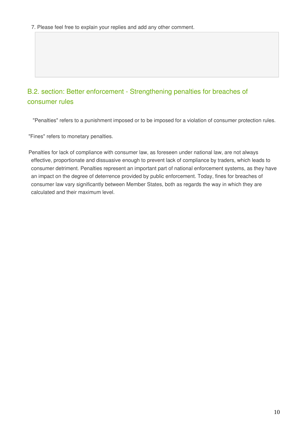# B.2. section: Better enforcement - Strengthening penalties for breaches of consumer rules

"Penalties" refers to a punishment imposed or to be imposed for a violation of consumer protection rules.

"Fines" refers to monetary penalties.

Penalties for lack of compliance with consumer law, as foreseen under national law, are not always effective, proportionate and dissuasive enough to prevent lack of compliance by traders, which leads to consumer detriment. Penalties represent an important part of national enforcement systems, as they have an impact on the degree of deterrence provided by public enforcement. Today, fines for breaches of consumer law vary significantly between Member States, both as regards the way in which they are calculated and their maximum level.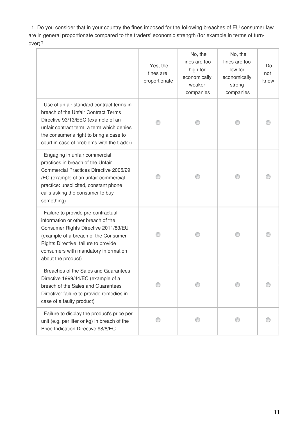1. Do you consider that in your country the fines imposed for the following breaches of EU consumer law are in general proportionate compared to the traders' economic strength (for example in terms of turnover)?

|                                                                                                                                                                                                                                                                | Yes, the<br>fines are<br>proportionate | No, the<br>fines are too<br>high for<br>economically<br>weaker<br>companies | No, the<br>fines are too<br>low for<br>economically<br>strong<br>companies | Do<br>not<br>know |
|----------------------------------------------------------------------------------------------------------------------------------------------------------------------------------------------------------------------------------------------------------------|----------------------------------------|-----------------------------------------------------------------------------|----------------------------------------------------------------------------|-------------------|
| Use of unfair standard contract terms in<br>breach of the Unfair Contract Terms<br>Directive 93/13/EEC (example of an<br>unfair contract term: a term which denies<br>the consumer's right to bring a case to<br>court in case of problems with the trader)    |                                        |                                                                             |                                                                            |                   |
| Engaging in unfair commercial<br>practices in breach of the Unfair<br>Commercial Practices Directive 2005/29<br>/EC (example of an unfair commercial<br>practice: unsolicited, constant phone<br>calls asking the consumer to buy<br>something)                |                                        |                                                                             |                                                                            |                   |
| Failure to provide pre-contractual<br>information or other breach of the<br>Consumer Rights Directive 2011/83/EU<br>(example of a breach of the Consumer<br>Rights Directive: failure to provide<br>consumers with mandatory information<br>about the product) |                                        |                                                                             |                                                                            |                   |
| Breaches of the Sales and Guarantees<br>Directive 1999/44/EC (example of a<br>breach of the Sales and Guarantees<br>Directive: failure to provide remedies in<br>case of a faulty product)                                                                     |                                        |                                                                             |                                                                            |                   |
| Failure to display the product's price per<br>unit (e.g. per liter or kg) in breach of the<br>Price Indication Directive 98/6/EC                                                                                                                               |                                        |                                                                             |                                                                            |                   |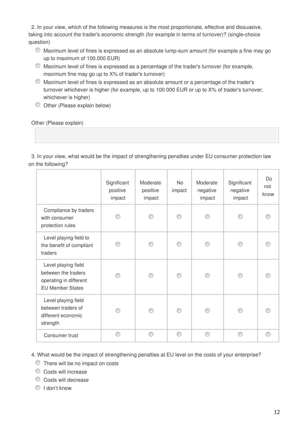2. In your view, which of the following measures is the most proportionate, effective and dissuasive, taking into account the trader's economic strength (for example in terms of turnover)? (single-choice question)

- Maximum level of fines is expressed as an absolute lump-sum amount (for example a fine may go up to maximum of 100.000 EUR)
- Maximum level of fines is expressed as a percentage of the trader's turnover (for example, maximum fine may go up to X% of trader's turnover)
- Maximum level of fines is expressed as an absolute amount or a percentage of the trader's turnover whichever is higher (for example, up to 100 000 EUR or up to X% of trader's turnover, whichever is higher)
- Other (Please explain below)

### Other (Please explain)

3. In your view, what would be the impact of strengthening penalties under EU consumer protection law on the following?

|                                                                                                 | Significant<br>positive<br>impact | Moderate<br>positive<br>impact | <b>No</b><br>impact | Moderate<br>negative<br>impact | Significant<br>negative<br>impact | Do<br>not<br>know |
|-------------------------------------------------------------------------------------------------|-----------------------------------|--------------------------------|---------------------|--------------------------------|-----------------------------------|-------------------|
| Compliance by traders<br>with consumer<br>protection rules                                      |                                   |                                |                     |                                |                                   |                   |
| Level playing field to<br>the benefit of compliant<br>traders                                   |                                   |                                |                     |                                |                                   |                   |
| Level playing field<br>between the traders<br>operating in different<br><b>EU Member States</b> |                                   |                                |                     |                                |                                   |                   |
| Level playing field<br>between traders of<br>different economic<br>strength                     |                                   |                                |                     |                                |                                   |                   |
| Consumer trust                                                                                  |                                   | ∩                              | ∩                   |                                |                                   |                   |

4. What would be the impact of strengthening penalties at EU level on the costs of your enterprise?

**There will be no impact on costs** 

Costs will increase

Costs will decrease

 $\textcircled{1}$  I don't know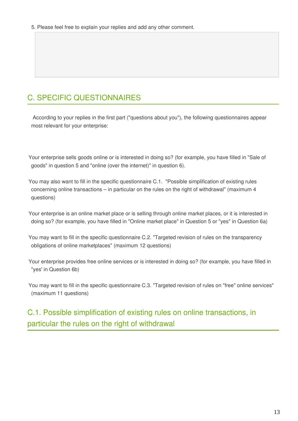# C. SPECIFIC QUESTIONNAIRES

 According to your replies in the first part ("questions about you"), the following questionnaires appear most relevant for your enterprise:

Your enterprise sells goods online or is interested in doing so? (for example, you have filled in "Sale of goods" in question 5 and "online (over the internet)" in question 6).

You may also want to fill in the specific questionnaire C.1. "Possible simplification of existing rules concerning online transactions – in particular on the rules on the right of withdrawal" (maximum 4 questions)

Your enterprise is an online market place or is selling through online market places, or it is interested in doing so? (for example, you have filled in "Online market place" in Question 5 or "yes" in Question 6a)

You may want to fill in the specific questionnaire C.2. "Targeted revision of rules on the transparency obligations of online marketplaces" (maximum 12 questions)

Your enterprise provides free online services or is interested in doing so? (for example, you have filled in "yes' in Question 6b)

You may want to fill in the specific questionnaire C.3. "Targeted revision of rules on "free" online services" (maximum 11 questions)

# C.1. Possible simplification of existing rules on online transactions, in particular the rules on the right of withdrawal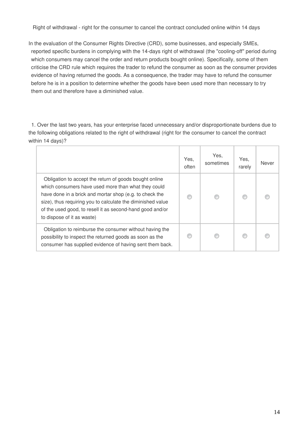Right of withdrawal - right for the consumer to cancel the contract concluded online within 14 days

In the evaluation of the Consumer Rights Directive (CRD), some businesses, and especially SMEs, reported specific burdens in complying with the 14-days right of withdrawal (the "cooling-off" period during which consumers may cancel the order and return products bought online). Specifically, some of them criticise the CRD rule which requires the trader to refund the consumer as soon as the consumer provides evidence of having returned the goods. As a consequence, the trader may have to refund the consumer before he is in a position to determine whether the goods have been used more than necessary to try them out and therefore have a diminished value.

1. Over the last two years, has your enterprise faced unnecessary and/or disproportionate burdens due to the following obligations related to the right of withdrawal (right for the consumer to cancel the contract within 14 days)?

|                                                                                                                                                                                                                                                                                                                                    | Yes,<br>often | Yes,<br>sometimes | Yes,<br>rarely | Never |
|------------------------------------------------------------------------------------------------------------------------------------------------------------------------------------------------------------------------------------------------------------------------------------------------------------------------------------|---------------|-------------------|----------------|-------|
| Obligation to accept the return of goods bought online<br>which consumers have used more than what they could<br>have done in a brick and mortar shop (e.g. to check the<br>size), thus requiring you to calculate the diminished value<br>of the used good, to resell it as second-hand good and/or<br>to dispose of it as waste) |               |                   |                |       |
| Obligation to reimburse the consumer without having the<br>possibility to inspect the returned goods as soon as the<br>consumer has supplied evidence of having sent them back.                                                                                                                                                    |               |                   |                |       |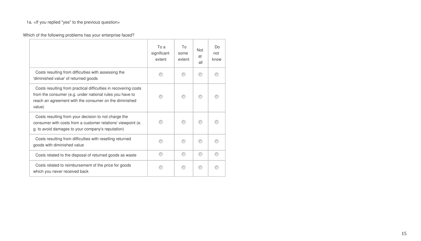# 1a. <If you replied "yes" to the previous question>

# Which of the following problems has your enterprise faced?

|                                                                                                                                                                                                 | To a<br>significant<br>extent | Tο<br>some<br>extent | <b>Not</b><br>at<br>all | Do<br>not<br>know |
|-------------------------------------------------------------------------------------------------------------------------------------------------------------------------------------------------|-------------------------------|----------------------|-------------------------|-------------------|
| Costs resulting from difficulties with assessing the<br>'diminished value' of returned goods                                                                                                    |                               |                      |                         |                   |
| Costs resulting from practical difficulties in recovering costs<br>from the consumer (e.g. under national rules you have to<br>reach an agreement with the consumer on the diminished<br>value) |                               |                      |                         |                   |
| Costs resulting from your decision to not charge the<br>consumer with costs from a customer relations' viewpoint (e.<br>g. to avoid damages to your company's reputation)                       |                               |                      |                         |                   |
| Costs resulting from difficulties with reselling returned<br>goods with diminished value                                                                                                        |                               |                      |                         |                   |
| Costs related to the disposal of returned goods as waste                                                                                                                                        |                               |                      |                         |                   |
| Costs related to reimbursement of the price for goods<br>which you never received back                                                                                                          |                               |                      |                         |                   |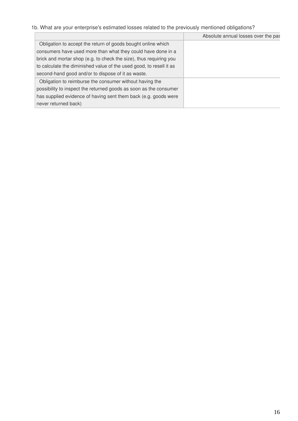# 1b. What are your enterprise's estimated losses related to the previously mentioned obligations?

|                                                                     | Absolute annual losses over the pas |
|---------------------------------------------------------------------|-------------------------------------|
| Obligation to accept the return of goods bought online which        |                                     |
| consumers have used more than what they could have done in a        |                                     |
| brick and mortar shop (e.g. to check the size), thus requiring you  |                                     |
| to calculate the diminished value of the used good, to resell it as |                                     |
| second-hand good and/or to dispose of it as waste.                  |                                     |
| Obligation to reimburse the consumer without having the             |                                     |
| possibility to inspect the returned goods as soon as the consumer   |                                     |
| has supplied evidence of having sent them back (e.g. goods were     |                                     |
| never returned back)                                                |                                     |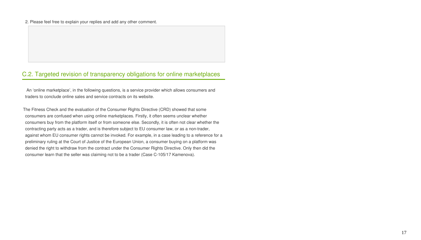### 2. Please feel free to explain your replies and add any other comment.

## C.2. Targeted revision of transparency obligations for online marketplaces

 An 'online marketplace', in the following questions, is a service provider which allows consumers and traders to conclude online sales and service contracts on its website.

The Fitness Check and the evaluation of the Consumer Rights Directive (CRD) showed that some consumers are confused when using online marketplaces. Firstly, it often seems unclear whether consumers buy from the platform itself or from someone else. Secondly, it is often not clear whether the contracting party acts as a trader, and is therefore subject to EU consumer law, or as a non-trader, against whom EU consumer rights cannot be invoked. For example, in a case leading to a reference for a preliminary ruling at the Court of Justice of the European Union, a consumer buying on a platform was denied the right to withdraw from the contract under the Consumer Rights Directive. Only then did the consumer learn that the seller was claiming not to be a trader (Case C-105/17 Kamenova).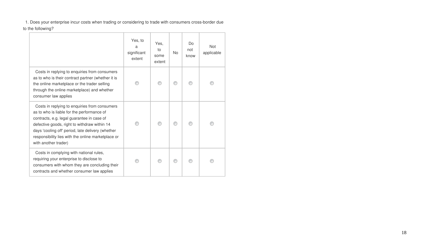1. Does your enterprise incur costs when trading or considering to trade with consumers cross-border due to the following?

|                                                                                                                                                                                                                                                                                                                              | Yes, to<br>a<br>significant<br>extent | Yes.<br>to<br>some<br>extent | N <sub>o</sub> | Do<br>not<br>know | <b>Not</b><br>applicable |
|------------------------------------------------------------------------------------------------------------------------------------------------------------------------------------------------------------------------------------------------------------------------------------------------------------------------------|---------------------------------------|------------------------------|----------------|-------------------|--------------------------|
| Costs in replying to enquiries from consumers<br>as to who is their contract partner (whether it is<br>the online marketplace or the trader selling<br>through the online marketplace) and whether<br>consumer law applies                                                                                                   |                                       |                              |                |                   |                          |
| Costs in replying to enquiries from consumers<br>as to who is liable for the performance of<br>contracts, e.g. legal guarantee in case of<br>defective goods, right to withdraw within 14<br>days 'cooling off' period, late delivery (whether<br>responsibility lies with the online marketplace or<br>with another trader) |                                       |                              |                |                   |                          |
| Costs in complying with national rules,<br>requiring your enterprise to disclose to<br>consumers with whom they are concluding their<br>contracts and whether consumer law applies                                                                                                                                           |                                       |                              |                |                   |                          |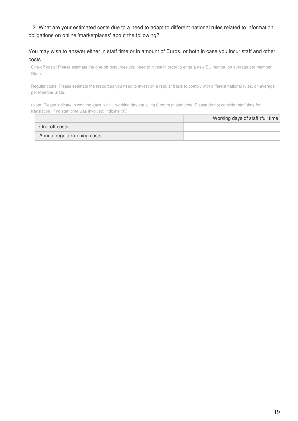## 2. What are your estimated costs due to a need to adapt to different national rules related to information obligations on online 'marketplaces' about the following?

### You may wish to answer either in staff time or in amount of Euros, or both in case you incur staff and other costs.

One-off costs: Please estimate the one-off resources you need to invest in order to enter a new EU market, on average per Member State.

Regular costs: Please estimate the resources you need to invest on a regular basis to comply with different national rules, on average per Member State.

| One-off costs                |  |
|------------------------------|--|
| Annual regular/running costs |  |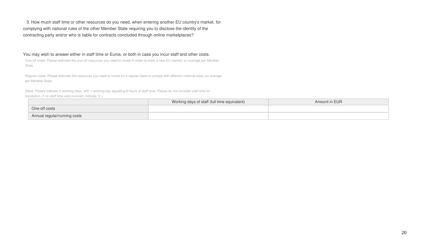3. How much staff time or other resources do you need, when entering another EU country's market, for complying with national rules of the other Member State requiring you to disclose the identity of the contracting party and/or who is liable for contracts concluded through online marketplaces?

You may wish to answer either in staff time or Euros, or both in case you incur staff and other costs.

One-off costs: Please estimate the one-off resources you need to invest in order to enter a new EU market, on average per Member State.

Regular costs: Please estimate the resources you need to invest on a regular basis to comply with different national rules, on average per Member State.

|                              | Working days of staff (full time equivalent) | Amount in EUR |
|------------------------------|----------------------------------------------|---------------|
| One-off costs                |                                              |               |
| Annual regular/running costs |                                              |               |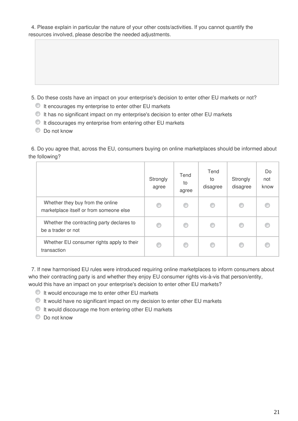4. Please explain in particular the nature of your other costs/activities. If you cannot quantify the resources involved, please describe the needed adjustments.

5. Do these costs have an impact on your enterprise's decision to enter other EU markets or not?

- $\bullet$  It encourages my enterprise to enter other EU markets
- It has no significant impact on my enterprise's decision to enter other EU markets
- $\bullet$  It discourages my enterprise from entering other EU markets
- $\bullet$  Do not know

6. Do you agree that, across the EU, consumers buying on online marketplaces should be informed about the following?

|                                                                             | Strongly<br>agree | Tend<br>to<br>agree | Tend<br>to<br>disagree | Strongly<br>disagree | Do<br>not<br>know |
|-----------------------------------------------------------------------------|-------------------|---------------------|------------------------|----------------------|-------------------|
| Whether they buy from the online<br>marketplace itself or from someone else |                   | ◎                   | €                      |                      |                   |
| Whether the contracting party declares to<br>be a trader or not             | C                 | ◎                   | €                      |                      |                   |
| Whether EU consumer rights apply to their<br>transaction                    |                   | €                   | €                      |                      |                   |

7. If new harmonised EU rules were introduced requiring online marketplaces to inform consumers about who their contracting party is and whether they enjoy EU consumer rights vis-à-vis that person/entity, would this have an impact on your enterprise's decision to enter other EU markets?

- It would encourage me to enter other EU markets
- It would have no significant impact on my decision to enter other EU markets
- $\bullet$  It would discourage me from entering other EU markets
- $\circledcirc$  Do not know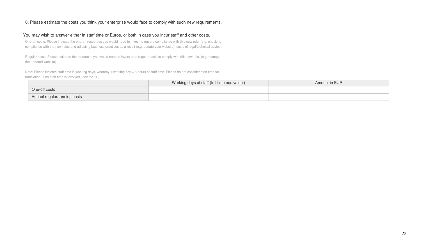### 8. Please estimate the costs you think your enterprise would face to comply with such new requirements.

#### You may wish to answer either in staff time or Euros, or both in case you incur staff and other costs.

One-off costs: Please indicate the one-off resources you would need to invest to ensure compliance with this new rule. (e.g. checking compliance with the new rules and adjusting business practices as a result (e.g. update your website), costs of legal/technical advice)

Regular costs: Please estimate the resources you would need to invest on a regular basis to comply with this new rule. (e.g. manage the updated website)

|                              | Working days of staff (full time equivalent) | Amount in EUR |
|------------------------------|----------------------------------------------|---------------|
| One-off costs                |                                              |               |
| Annual regular/running costs |                                              |               |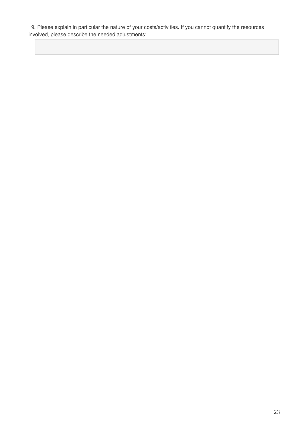9. Please explain in particular the nature of your costs/activities. If you cannot quantify the resources involved, please describe the needed adjustments: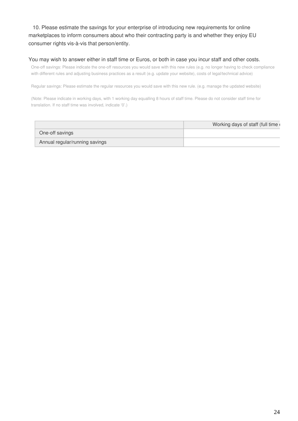10. Please estimate the savings for your enterprise of introducing new requirements for online marketplaces to inform consumers about who their contracting party is and whether they enjoy EU consumer rights vis-à-vis that person/entity.

#### You may wish to answer either in staff time or Euros, or both in case you incur staff and other costs.

One-off savings: Please indicate the one-off resources you would save with this new rules (e.g. no longer having to check compliance with different rules and adjusting business practices as a result (e.g. update your website), costs of legal/technical advice)

Regular savings: Please estimate the regular resources you would save with this new rule. (e.g. manage the updated website)

|                                | Working days of staff (full time |
|--------------------------------|----------------------------------|
| One-off savings                |                                  |
| Annual regular/running savings |                                  |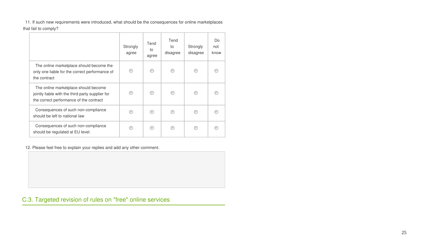11. If such new requirements were introduced, what should be the consequences for online marketplaces

that fail to comply?

|                                                                                                                                     | Strongly<br>agree | Tend<br>to<br>agree | Tend<br>to<br>disagree | Strongly<br>disagree | D <sub>o</sub><br>not<br>know |
|-------------------------------------------------------------------------------------------------------------------------------------|-------------------|---------------------|------------------------|----------------------|-------------------------------|
| The online marketplace should become the<br>only one liable for the correct performance of<br>the contract                          |                   | ⋒                   |                        |                      |                               |
| The online marketplace should become<br>jointly liable with the third party supplier for<br>the correct performance of the contract |                   |                     |                        |                      |                               |
| Consequences of such non-compliance<br>should be left to national law                                                               |                   |                     |                        |                      |                               |
| Consequences of such non-compliance<br>should be regulated at EU level.                                                             |                   |                     |                        |                      |                               |

12. Please feel free to explain your replies and add any other comment.

C.3. Targeted revision of rules on "free" online services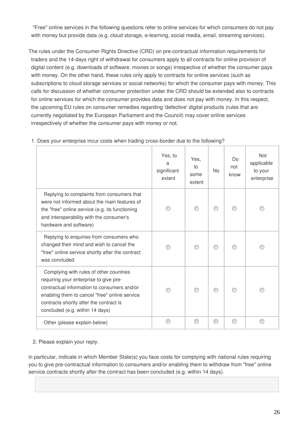"Free" online services in the following questions refer to online services for which consumers do not pay with money but provide data (e.g. cloud storage, e-learning, social media, email, streaming services).

The rules under the Consumer Rights Directive (CRD) on pre-contractual information requirements for traders and the 14-days right of withdrawal for consumers apply to all contracts for online provision of digital content (e.g. downloads of software, movies or songs) irrespective of whether the consumer pays with money. On the other hand, these rules only apply to contracts for online services (such as subscriptions to cloud storage services or social networks) for which the consumer pays with money. This calls for discussion of whether consumer protection under the CRD should be extended also to contracts for online services for which the consumer provides data and does not pay with money. In this respect, the upcoming EU rules on consumer remedies regarding 'defective' digital products (rules that are currently negotiated by the European Parliament and the Council) may cover online services irrespectively of whether the consumer pays with money or not.

|                                                                                                                                                                                                                                                                 | Yes, to<br>a<br>significant<br>extent | Yes,<br>to<br>some<br>extent | <b>No</b> | Do<br>not<br>know | <b>Not</b><br>applicable<br>to your<br>enterprise |
|-----------------------------------------------------------------------------------------------------------------------------------------------------------------------------------------------------------------------------------------------------------------|---------------------------------------|------------------------------|-----------|-------------------|---------------------------------------------------|
| Replying to complaints from consumers that<br>were not informed about the main features of<br>the "free" online service (e.g. its functioning<br>and interoperability with the consumer's<br>hardware and software)                                             |                                       |                              |           |                   |                                                   |
| Replying to enquiries from consumers who<br>changed their mind and wish to cancel the<br>"free" online service shortly after the contract<br>was concluded                                                                                                      |                                       |                              |           |                   |                                                   |
| Complying with rules of other countries<br>requiring your enterprise to give pre-<br>contractual information to consumers and/or<br>enabling them to cancel "free" online service<br>contracts shortly after the contract is<br>concluded (e.g. within 14 days) |                                       |                              |           |                   |                                                   |
| Other (please explain below)                                                                                                                                                                                                                                    |                                       |                              |           |                   |                                                   |

### 1. Does your enterprise incur costs when trading cross-border due to the following?

### 2. Please explain your reply.

in particular, indicate in which Member State(s) you face costs for complying with national rules requiring you to give pre-contractual information to consumers and/or enabling them to withdraw from "free" online service contracts shortly after the contract has been concluded (e.g. within 14 days).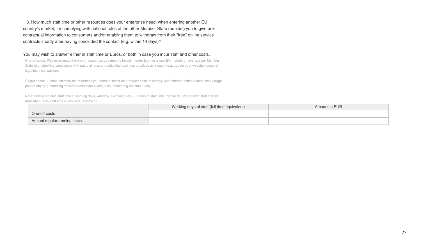3. How much staff time or other resources does your enterprise need, when entering another EU country's market, for complying with national rules of the other Member State requiring you to give precontractual information to consumers and/or enabling them to withdraw from their "free" online service contracts shortly after having concluded the contact (e.g. within 14 days)?

#### You may wish to answer either in staff time or Euros, or both in case you incur staff and other costs.

One-off costs: Please estimate the one-off resources you need to invest in order to enter a new EU market, on average per Member State (e.g. checking compliance with national rules and adjusting business practices as a result (e.g. update your website), costs of legal/technical advice).

Regular costs: Please estimate the resources you need to invest on a regular basis to comply with different national rules, on average per country (e.g. handling consumer complaints/ enquiries, monitoring national rules)

|                              | Working days of staff (full time equivalent) | Amount in EUR |
|------------------------------|----------------------------------------------|---------------|
| One-off costs                |                                              |               |
| Annual regular/running costs |                                              |               |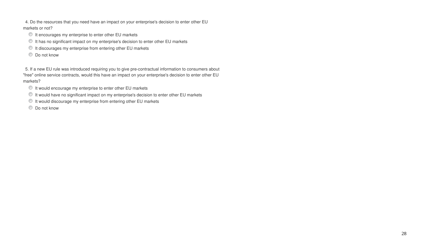4. Do the resources that you need have an impact on your enterprise's decision to enter other EU markets or not?

- $\bullet$  It encourages my enterprise to enter other EU markets
- $\bullet$  It has no significant impact on my enterprise's decision to enter other EU markets
- $\bullet$  It discourages my enterprise from entering other EU markets
- $\circledcirc$  Do not know

5. If a new EU rule was introduced requiring you to give pre-contractual information to consumers about "free" online service contracts, would this have an impact on your enterprise's decision to enter other EU markets?

- $\bullet$  It would encourage my enterprise to enter other EU markets
- It would have no significant impact on my enterprise's decision to enter other EU markets
- $\bullet$  It would discourage my enterprise from entering other EU markets
- **Do not know**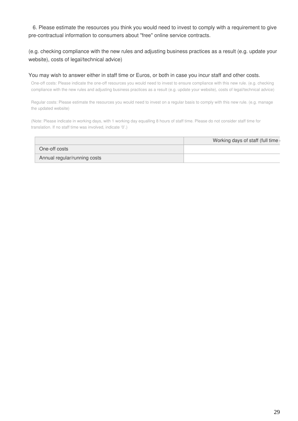6. Please estimate the resources you think you would need to invest to comply with a requirement to give pre-contractual information to consumers about "free" online service contracts.

### (e.g. checking compliance with the new rules and adjusting business practices as a result (e.g. update your website), costs of legal/technical advice)

#### You may wish to answer either in staff time or Euros, or both in case you incur staff and other costs.

One-off costs: Please indicate the one-off resources you would need to invest to ensure compliance with this new rule. (e.g. checking compliance with the new rules and adjusting business practices as a result (e.g. update your website), costs of legal/technical advice)

Regular costs: Please estimate the resources you would need to invest on a regular basis to comply with this new rule. (e.g. manage the updated website)

|                              | Working days of staff (full time |
|------------------------------|----------------------------------|
| One-off costs                |                                  |
| Annual regular/running costs |                                  |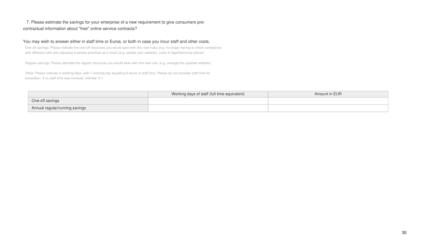## 7. Please estimate the savings for your enterprise of a new requirement to give consumers precontractual information about "free" online service contracts?

### You may wish to answer either in staff time or Euros, or both in case you incur staff and other costs.

One-off savings: Please indicate the one-off resources you would save with this new rules (e.g. no longer having to check compliance with different rules and adjusting business practices as a result (e.g. update your website), costs of legal/technical advice)

Regular savings: Please estimate the regular resources you would save with this new rule. (e.g. manage the updated website)

|                                | Working days of staff (full time equivalent) | Amount in EUR |
|--------------------------------|----------------------------------------------|---------------|
| One-off savings                |                                              |               |
| Annual regular/running savings |                                              |               |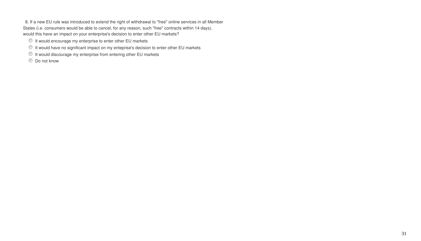8. If a new EU rule was introduced to extend the right of withdrawal to "free" online services in all Member States (i.e. consumers would be able to cancel, for any reason, such "free" contracts within 14 days), would this have an impact on your enterprise's decision to enter other EU markets?

- $\bullet$  It would encourage my enterprise to enter other EU markets
- It would have no significant impact on my enteprise's decision to enter other EU markets
- $\bullet$  It would discourage my enterprise from entering other EU markets
- $\bullet$  Do not know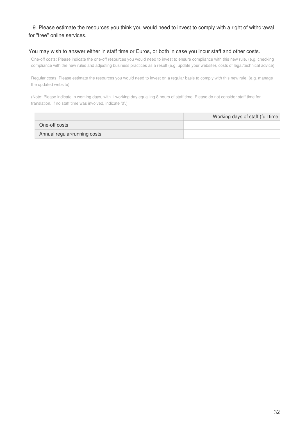### 9. Please estimate the resources you think you would need to invest to comply with a right of withdrawal for "free" online services.

#### You may wish to answer either in staff time or Euros, or both in case you incur staff and other costs.

One-off costs: Please indicate the one-off resources you would need to invest to ensure compliance with this new rule. (e.g. checking compliance with the new rules and adjusting business practices as a result (e.g. update your website), costs of legal/technical advice)

Regular costs: Please estimate the resources you would need to invest on a regular basis to comply with this new rule. (e.g. manage the updated website)

|                              | Working days of staff (full time |
|------------------------------|----------------------------------|
| One-off costs                |                                  |
| Annual regular/running costs |                                  |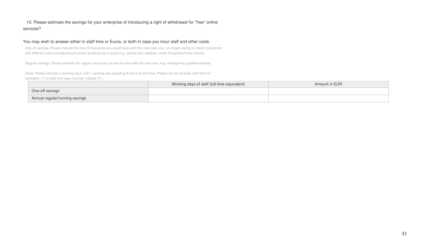## 10. Please estimate the savings for your enterprise of introducing a right of withdrawal for "free" online services?

### You may wish to answer either in staff time or Euros, or both in case you incur staff and other costs.

One-off savings: Please indicate the one-off resources you would save with this new rules (e.g. no longer having to check compliance with different rules and adjusting business practices as a result (e.g. update your website), costs of legal/technical advice)

Regular savings: Please estimate the regular resources you would save with this new rule. (e.g. manage the updated website)

|                                | Working days of staff (full time equivalent) | Amount in EUR |
|--------------------------------|----------------------------------------------|---------------|
| One-off savings                |                                              |               |
| Annual regular/running savings |                                              |               |